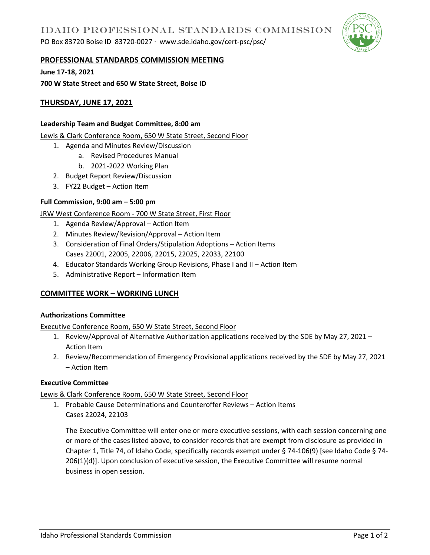PO Box 83720 Boise ID 83720-0027 ∙ www.sde.idaho.gov/cert-psc/psc/



### **PROFESSIONAL STANDARDS COMMISSION MEETING**

**June 17-18, 2021**

**700 W State Street and 650 W State Street, Boise ID** 

# **THURSDAY, JUNE 17, 2021**

### **Leadership Team and Budget Committee, 8:00 am**

Lewis & Clark Conference Room, 650 W State Street, Second Floor

- 1. Agenda and Minutes Review/Discussion
	- a. Revised Procedures Manual
	- b. 2021-2022 Working Plan
- 2. Budget Report Review/Discussion
- 3. FY22 Budget Action Item

## **Full Commission, 9:00 am – 5:00 pm**

## JRW West Conference Room - 700 W State Street, First Floor

- 1. Agenda Review/Approval Action Item
- 2. Minutes Review/Revision/Approval Action Item
- 3. Consideration of Final Orders/Stipulation Adoptions Action Items Cases 22001, 22005, 22006, 22015, 22025, 22033, 22100
- 4. Educator Standards Working Group Revisions, Phase I and II Action Item
- 5. Administrative Report Information Item

## **COMMITTEE WORK – WORKING LUNCH**

#### **Authorizations Committee**

Executive Conference Room, 650 W State Street, Second Floor

- 1. Review/Approval of Alternative Authorization applications received by the SDE by May 27, 2021 Action Item
- 2. Review/Recommendation of Emergency Provisional applications received by the SDE by May 27, 2021 – Action Item

## **Executive Committee**

## Lewis & Clark Conference Room, 650 W State Street, Second Floor

1. Probable Cause Determinations and Counteroffer Reviews – Action Items Cases 22024, 22103

The Executive Committee will enter one or more executive sessions, with each session concerning one or more of the cases listed above, to consider records that are exempt from disclosure as provided in Chapter 1, Title 74, of Idaho Code, specifically records exempt under § 74-106(9) [see Idaho Code § 74- 206(1)(d)]. Upon conclusion of executive session, the Executive Committee will resume normal business in open session.